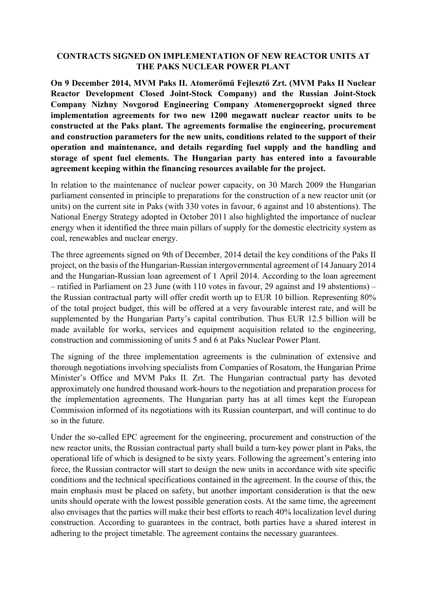## **CONTRACTS SIGNED ON IMPLEMENTATION OF NEW REACTOR UNITS AT THE PAKS NUCLEAR POWER PLANT**

**On 9 December 2014, MVM Paks II. Atomerőmű Fejlesztő Zrt. (MVM Paks II Nuclear Reactor Development Closed Joint-Stock Company) and the Russian Joint-Stock Company Nizhny Novgorod Engineering Company Atomenergoproekt signed three implementation agreements for two new 1200 megawatt nuclear reactor units to be constructed at the Paks plant. The agreements formalise the engineering, procurement and construction parameters for the new units, conditions related to the support of their operation and maintenance, and details regarding fuel supply and the handling and storage of spent fuel elements. The Hungarian party has entered into a favourable agreement keeping within the financing resources available for the project.**

In relation to the maintenance of nuclear power capacity, on 30 March 2009 the Hungarian parliament consented in principle to preparations for the construction of a new reactor unit (or units) on the current site in Paks (with 330 votes in favour, 6 against and 10 abstentions). The National Energy Strategy adopted in October 2011 also highlighted the importance of nuclear energy when it identified the three main pillars of supply for the domestic electricity system as coal, renewables and nuclear energy.

The three agreements signed on 9th of December, 2014 detail the key conditions of the Paks II project, on the basis of the Hungarian-Russian intergovernmental agreement of 14 January 2014 and the Hungarian-Russian loan agreement of 1 April 2014. According to the loan agreement – ratified in Parliament on 23 June (with 110 votes in favour, 29 against and 19 abstentions) – the Russian contractual party will offer credit worth up to EUR 10 billion. Representing 80% of the total project budget, this will be offered at a very favourable interest rate, and will be supplemented by the Hungarian Party's capital contribution. Thus EUR 12.5 billion will be made available for works, services and equipment acquisition related to the engineering, construction and commissioning of units 5 and 6 at Paks Nuclear Power Plant.

The signing of the three implementation agreements is the culmination of extensive and thorough negotiations involving specialists from Companies of Rosatom, the Hungarian Prime Minister's Office and MVM Paks II. Zrt. The Hungarian contractual party has devoted approximately one hundred thousand work-hours to the negotiation and preparation process for the implementation agreements. The Hungarian party has at all times kept the European Commission informed of its negotiations with its Russian counterpart, and will continue to do so in the future.

Under the so-called EPC agreement for the engineering, procurement and construction of the new reactor units, the Russian contractual party shall build a turn-key power plant in Paks, the operational life of which is designed to be sixty years. Following the agreement's entering into force, the Russian contractor will start to design the new units in accordance with site specific conditions and the technical specifications contained in the agreement. In the course of this, the main emphasis must be placed on safety, but another important consideration is that the new units should operate with the lowest possible generation costs. At the same time, the agreement also envisages that the parties will make their best efforts to reach 40% localization level during construction. According to guarantees in the contract, both parties have a shared interest in adhering to the project timetable. The agreement contains the necessary guarantees.